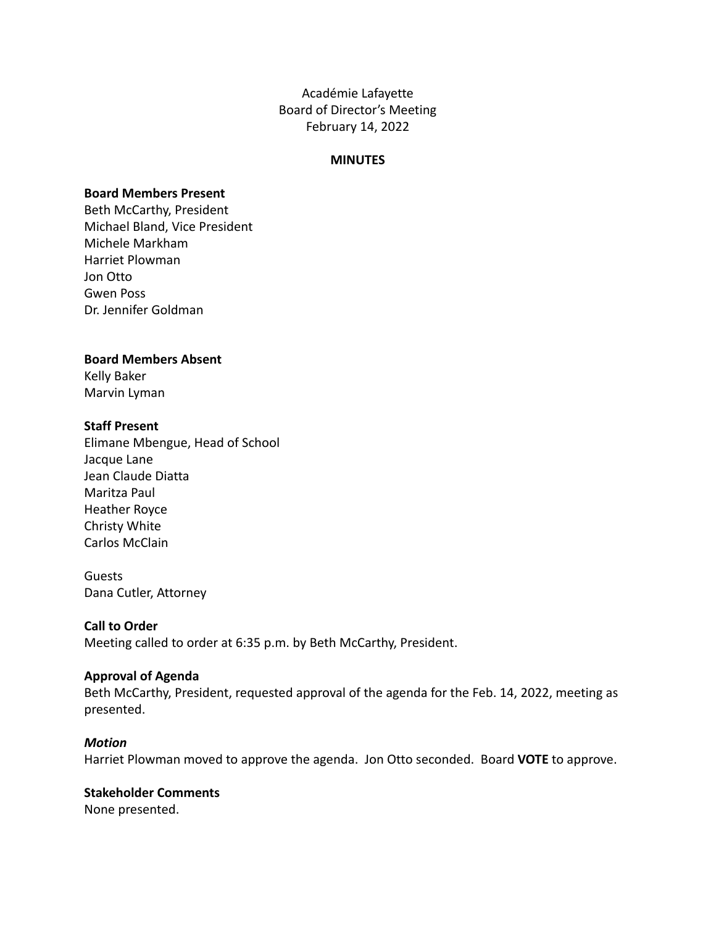Académie Lafayette Board of Director's Meeting February 14, 2022

#### **MINUTES**

#### **Board Members Present**

Beth McCarthy, President Michael Bland, Vice President Michele Markham Harriet Plowman Jon Otto Gwen Poss Dr. Jennifer Goldman

#### **Board Members Absent**

Kelly Baker Marvin Lyman

#### **Staff Present**

Elimane Mbengue, Head of School Jacque Lane Jean Claude Diatta Maritza Paul Heather Royce Christy White Carlos McClain

Guests Dana Cutler, Attorney

### **Call to Order**

Meeting called to order at 6:35 p.m. by Beth McCarthy, President.

### **Approval of Agenda**

Beth McCarthy, President, requested approval of the agenda for the Feb. 14, 2022, meeting as presented.

#### *Motion*

Harriet Plowman moved to approve the agenda. Jon Otto seconded. Board **VOTE** to approve.

# **Stakeholder Comments**

None presented.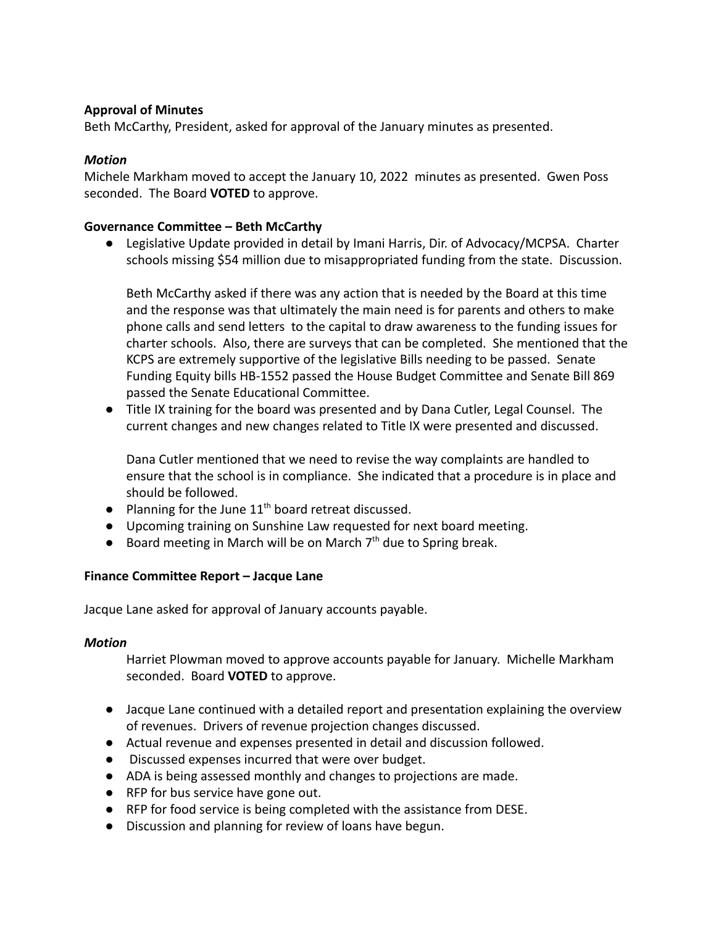## **Approval of Minutes**

Beth McCarthy, President, asked for approval of the January minutes as presented.

### *Motion*

Michele Markham moved to accept the January 10, 2022 minutes as presented. Gwen Poss seconded. The Board **VOTED** to approve.

### **Governance Committee – Beth McCarthy**

● Legislative Update provided in detail by Imani Harris, Dir. of Advocacy/MCPSA. Charter schools missing \$54 million due to misappropriated funding from the state. Discussion.

Beth McCarthy asked if there was any action that is needed by the Board at this time and the response was that ultimately the main need is for parents and others to make phone calls and send letters to the capital to draw awareness to the funding issues for charter schools. Also, there are surveys that can be completed. She mentioned that the KCPS are extremely supportive of the legislative Bills needing to be passed. Senate Funding Equity bills HB-1552 passed the House Budget Committee and Senate Bill 869 passed the Senate Educational Committee.

● Title IX training for the board was presented and by Dana Cutler, Legal Counsel. The current changes and new changes related to Title IX were presented and discussed.

Dana Cutler mentioned that we need to revise the way complaints are handled to ensure that the school is in compliance. She indicated that a procedure is in place and should be followed.

- Planning for the June 11<sup>th</sup> board retreat discussed.
- Upcoming training on Sunshine Law requested for next board meeting.
- Board meeting in March will be on March  $7<sup>th</sup>$  due to Spring break.

### **Finance Committee Report – Jacque Lane**

Jacque Lane asked for approval of January accounts payable.

#### *Motion*

Harriet Plowman moved to approve accounts payable for January. Michelle Markham seconded. Board **VOTED** to approve.

- Jacque Lane continued with a detailed report and presentation explaining the overview of revenues. Drivers of revenue projection changes discussed.
- Actual revenue and expenses presented in detail and discussion followed.
- Discussed expenses incurred that were over budget.
- ADA is being assessed monthly and changes to projections are made.
- RFP for bus service have gone out.
- RFP for food service is being completed with the assistance from DESE.
- Discussion and planning for review of loans have begun.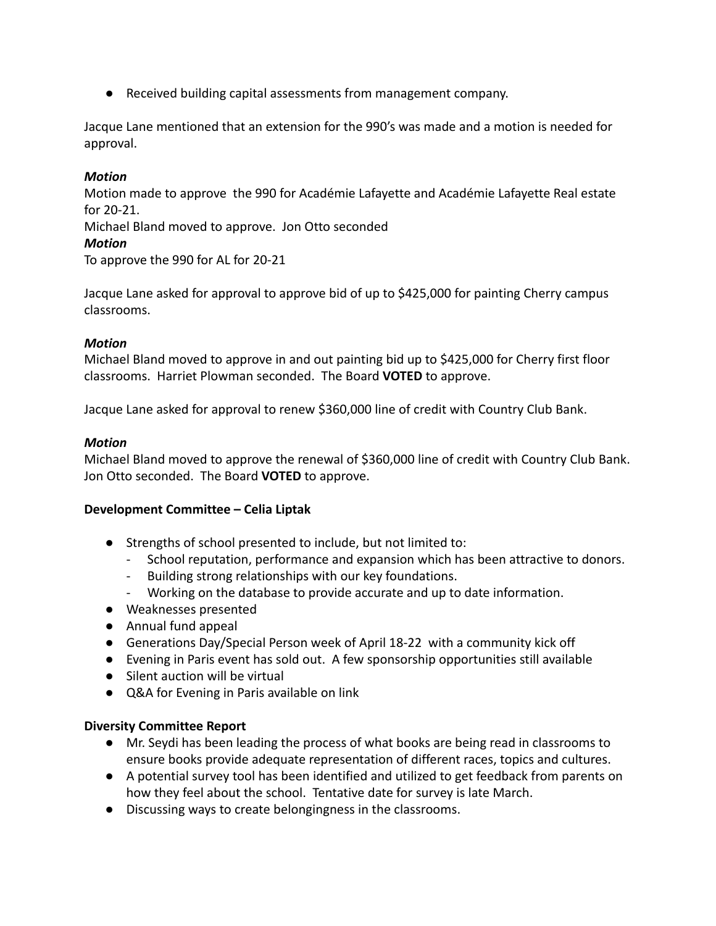● Received building capital assessments from management company.

Jacque Lane mentioned that an extension for the 990's was made and a motion is needed for approval.

# *Motion*

Motion made to approve the 990 for Académie Lafayette and Académie Lafayette Real estate for 20-21.

Michael Bland moved to approve. Jon Otto seconded

## *Motion*

To approve the 990 for AL for 20-21

Jacque Lane asked for approval to approve bid of up to \$425,000 for painting Cherry campus classrooms.

## *Motion*

Michael Bland moved to approve in and out painting bid up to \$425,000 for Cherry first floor classrooms. Harriet Plowman seconded. The Board **VOTED** to approve.

Jacque Lane asked for approval to renew \$360,000 line of credit with Country Club Bank.

## *Motion*

Michael Bland moved to approve the renewal of \$360,000 line of credit with Country Club Bank. Jon Otto seconded. The Board **VOTED** to approve.

### **Development Committee – Celia Liptak**

- Strengths of school presented to include, but not limited to:
	- School reputation, performance and expansion which has been attractive to donors.
	- Building strong relationships with our key foundations.
	- Working on the database to provide accurate and up to date information.
- Weaknesses presented
- Annual fund appeal
- Generations Day/Special Person week of April 18-22 with a community kick off
- Evening in Paris event has sold out. A few sponsorship opportunities still available
- Silent auction will be virtual
- Q&A for Evening in Paris available on link

### **Diversity Committee Report**

- Mr. Seydi has been leading the process of what books are being read in classrooms to ensure books provide adequate representation of different races, topics and cultures.
- A potential survey tool has been identified and utilized to get feedback from parents on how they feel about the school. Tentative date for survey is late March.
- Discussing ways to create belongingness in the classrooms.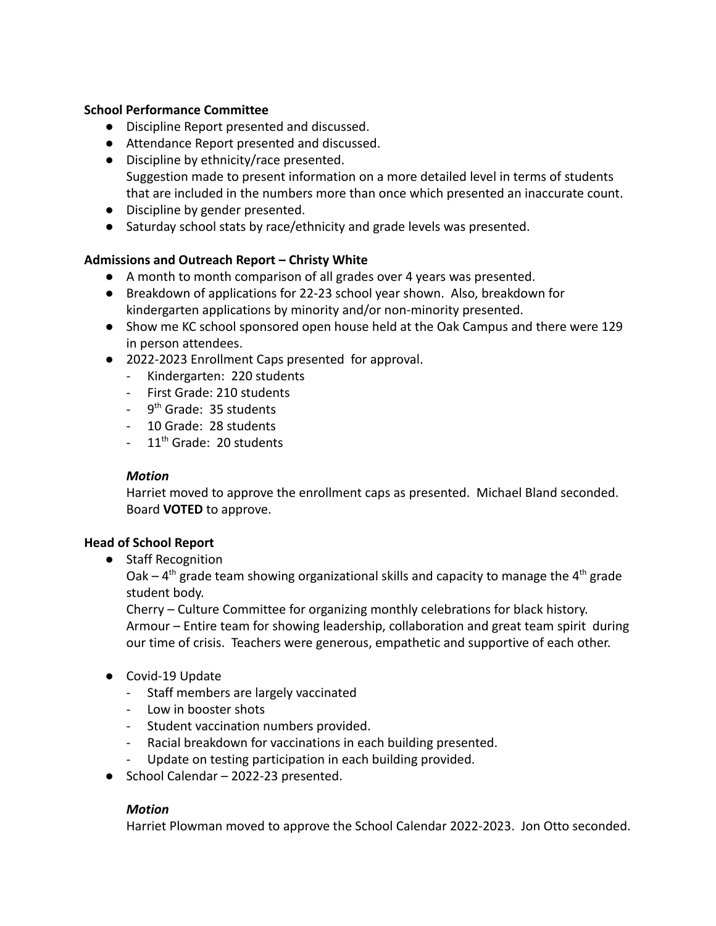### **School Performance Committee**

- Discipline Report presented and discussed.
- Attendance Report presented and discussed.
- Discipline by ethnicity/race presented. Suggestion made to present information on a more detailed level in terms of students that are included in the numbers more than once which presented an inaccurate count.
- Discipline by gender presented.
- Saturday school stats by race/ethnicity and grade levels was presented.

# **Admissions and Outreach Report – Christy White**

- A month to month comparison of all grades over 4 years was presented.
- Breakdown of applications for 22-23 school year shown. Also, breakdown for kindergarten applications by minority and/or non-minority presented.
- Show me KC school sponsored open house held at the Oak Campus and there were 129 in person attendees.
- 2022-2023 Enrollment Caps presented for approval.
	- Kindergarten: 220 students
	- First Grade: 210 students
	- 9<sup>th</sup> Grade: 35 students
	- 10 Grade: 28 students
	- $-11<sup>th</sup>$  Grade: 20 students

# *Motion*

Harriet moved to approve the enrollment caps as presented. Michael Bland seconded. Board **VOTED** to approve.

# **Head of School Report**

● Staff Recognition

Oak –  $4<sup>th</sup>$  grade team showing organizational skills and capacity to manage the  $4<sup>th</sup>$  grade student body.

Cherry – Culture Committee for organizing monthly celebrations for black history. Armour – Entire team for showing leadership, collaboration and great team spirit during our time of crisis. Teachers were generous, empathetic and supportive of each other.

- Covid-19 Update
	- Staff members are largely vaccinated
	- Low in booster shots
	- Student vaccination numbers provided.
	- Racial breakdown for vaccinations in each building presented.
	- Update on testing participation in each building provided.
- School Calendar 2022-23 presented.

# *Motion*

Harriet Plowman moved to approve the School Calendar 2022-2023. Jon Otto seconded.